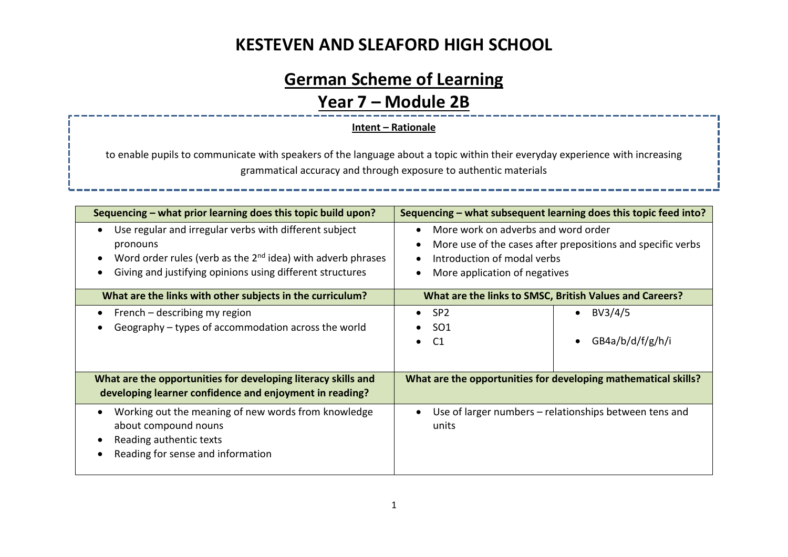# **German Scheme of Learning**

#### **Year 7 – Module 2B**

#### **Intent – Rationale**

to enable pupils to communicate with speakers of the language about a topic within their everyday experience with increasing grammatical accuracy and through exposure to authentic materials

| Sequencing - what prior learning does this topic build upon?                                                                                                                                                               |                                                                                                                                                                    | Sequencing – what subsequent learning does this topic feed into? |
|----------------------------------------------------------------------------------------------------------------------------------------------------------------------------------------------------------------------------|--------------------------------------------------------------------------------------------------------------------------------------------------------------------|------------------------------------------------------------------|
| Use regular and irregular verbs with different subject<br>$\bullet$<br>pronouns<br>Word order rules (verb as the $2nd$ idea) with adverb phrases<br>$\bullet$<br>Giving and justifying opinions using different structures | More work on adverbs and word order<br>More use of the cases after prepositions and specific verbs<br>Introduction of modal verbs<br>More application of negatives |                                                                  |
| What are the links with other subjects in the curriculum?                                                                                                                                                                  | What are the links to SMSC, British Values and Careers?                                                                                                            |                                                                  |
| French – describing my region<br>Geography - types of accommodation across the world                                                                                                                                       | $\bullet$ SP2<br><b>SO1</b><br>C <sub>1</sub><br>$\bullet$                                                                                                         | BV3/4/5<br>$\bullet$<br>GB4a/b/d/f/g/h/i<br>$\bullet$            |
| What are the opportunities for developing literacy skills and<br>developing learner confidence and enjoyment in reading?                                                                                                   | What are the opportunities for developing mathematical skills?                                                                                                     |                                                                  |
| Working out the meaning of new words from knowledge<br>$\bullet$<br>about compound nouns<br>Reading authentic texts<br>Reading for sense and information                                                                   | Use of larger numbers – relationships between tens and<br>units                                                                                                    |                                                                  |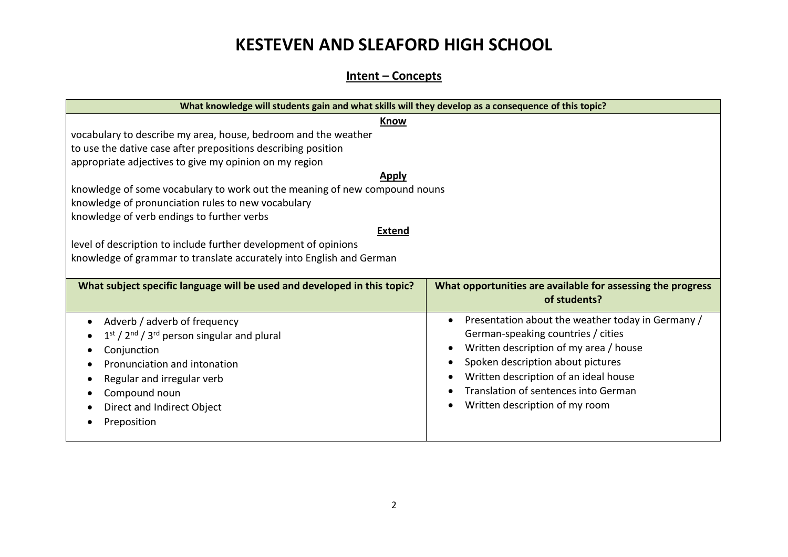#### **Intent – Concepts**

| What knowledge will students gain and what skills will they develop as a consequence of this topic? |                                                             |  |  |  |
|-----------------------------------------------------------------------------------------------------|-------------------------------------------------------------|--|--|--|
| Know                                                                                                |                                                             |  |  |  |
| vocabulary to describe my area, house, bedroom and the weather                                      |                                                             |  |  |  |
| to use the dative case after prepositions describing position                                       |                                                             |  |  |  |
| appropriate adjectives to give my opinion on my region                                              |                                                             |  |  |  |
| <b>Apply</b>                                                                                        |                                                             |  |  |  |
| knowledge of some vocabulary to work out the meaning of new compound nouns                          |                                                             |  |  |  |
| knowledge of pronunciation rules to new vocabulary                                                  |                                                             |  |  |  |
| knowledge of verb endings to further verbs                                                          |                                                             |  |  |  |
| <b>Extend</b>                                                                                       |                                                             |  |  |  |
| level of description to include further development of opinions                                     |                                                             |  |  |  |
| knowledge of grammar to translate accurately into English and German                                |                                                             |  |  |  |
|                                                                                                     |                                                             |  |  |  |
| What subject specific language will be used and developed in this topic?                            |                                                             |  |  |  |
|                                                                                                     | What opportunities are available for assessing the progress |  |  |  |
|                                                                                                     | of students?                                                |  |  |  |
|                                                                                                     | Presentation about the weather today in Germany /           |  |  |  |
| Adverb / adverb of frequency                                                                        | German-speaking countries / cities                          |  |  |  |
| $1st / 2nd / 3rd person singular and plural$                                                        | Written description of my area / house                      |  |  |  |
| Conjunction<br>Pronunciation and intonation                                                         | Spoken description about pictures                           |  |  |  |
|                                                                                                     | Written description of an ideal house                       |  |  |  |
| Regular and irregular verb                                                                          | Translation of sentences into German                        |  |  |  |
| Compound noun                                                                                       | Written description of my room                              |  |  |  |
| Direct and Indirect Object<br>Preposition                                                           |                                                             |  |  |  |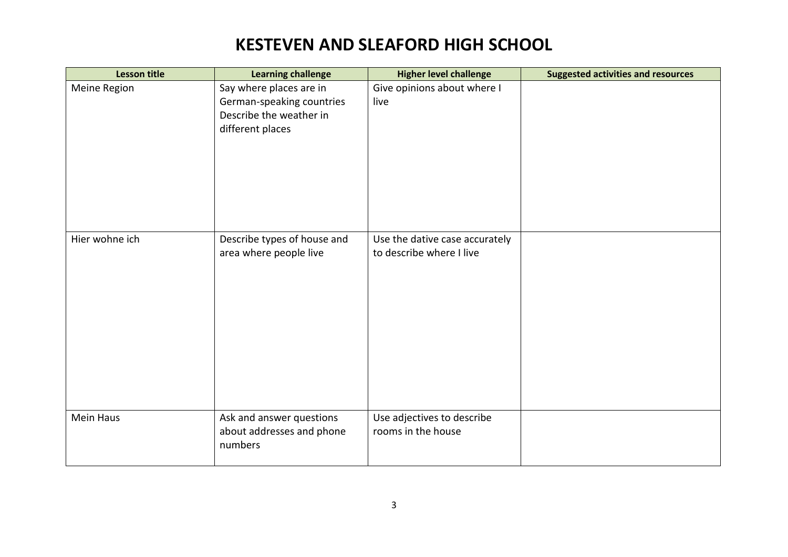| <b>Lesson title</b> | <b>Learning challenge</b>                                                                           | <b>Higher level challenge</b>                              | <b>Suggested activities and resources</b> |
|---------------------|-----------------------------------------------------------------------------------------------------|------------------------------------------------------------|-------------------------------------------|
| Meine Region        | Say where places are in<br>German-speaking countries<br>Describe the weather in<br>different places | Give opinions about where I<br>live                        |                                           |
| Hier wohne ich      | Describe types of house and<br>area where people live                                               | Use the dative case accurately<br>to describe where I live |                                           |
| Mein Haus           | Ask and answer questions<br>about addresses and phone<br>numbers                                    | Use adjectives to describe<br>rooms in the house           |                                           |